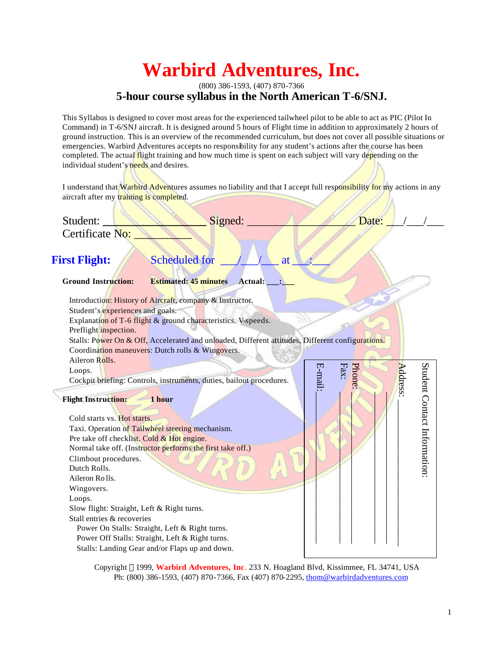# **Warbird Adventures, Inc.**

### (800) 386-1593, (407) 870-7366 **5-hour course syllabus in the North American T-6/SNJ.**

This Syllabus is designed to cover most areas for the experienced tailwheel pilot to be able to act as PIC (Pilot In Command) in T-6/SNJ aircraft. It is designed around 5 hours of Flight time in addition to approximately 2 hours of ground instruction. This is an overview of the recommended curriculum, but does not cover all possible situations or emergencies. Warbird Adventures accepts no responsibility for any student's actions after the course has been completed. The actual flight training and how much time is spent on each subject will vary depending on the individual student's needs and desires.

I understand that Warbird Adventures assumes no liability and that I accept full responsibility for my actions in any aircraft after my training is completed.

| Student:                                                             | Signed:                                                                                                                                                                                                                                                                                                                      | Date:                    |                             |
|----------------------------------------------------------------------|------------------------------------------------------------------------------------------------------------------------------------------------------------------------------------------------------------------------------------------------------------------------------------------------------------------------------|--------------------------|-----------------------------|
| Certificate No:                                                      |                                                                                                                                                                                                                                                                                                                              |                          |                             |
|                                                                      |                                                                                                                                                                                                                                                                                                                              |                          |                             |
| <b>First Flight:</b>                                                 | <b>Scheduled for</b><br>at                                                                                                                                                                                                                                                                                                   |                          |                             |
| <b>Ground Instruction:</b>                                           | <b>Estimated: 45 minutes</b><br><b>Actual:</b>                                                                                                                                                                                                                                                                               |                          |                             |
| Preflight inspection.                                                | Introduction: History of Aircraft, company & Instructor.<br>Student's <i>experiences</i> and goals.<br>Explanation of T-6 flight & ground characteristics. V-speeds.<br>Stalls: Power On & Off, Accelerated and unloaded, Different attitudes, Different configurations.<br>Coordination maneuvers: Dutch rolls & Wingovers. |                          |                             |
| Aileron Rolls.<br>Loops.                                             | Cockpit briefing: Controls, instruments, duties, bailout procedures.                                                                                                                                                                                                                                                         | E-mail:<br>Fax:<br>Phone | Address:                    |
| <b>Flight Instruction:</b>                                           | 1 hour                                                                                                                                                                                                                                                                                                                       |                          | Student Contact Information |
| Cold starts vs. Hot starts.                                          | Taxi. Operation of Tailwheel steering mechanism.                                                                                                                                                                                                                                                                             |                          |                             |
|                                                                      | Pre take off checklist. Cold & Hot engine.                                                                                                                                                                                                                                                                                   |                          |                             |
|                                                                      | Normal take off. (Instructor performs the first take off.)                                                                                                                                                                                                                                                                   |                          |                             |
| Climbout procedures.<br>Dutch Rolls.<br>Aileron Rolls.<br>Wingovers. |                                                                                                                                                                                                                                                                                                                              |                          |                             |
| Loops.                                                               |                                                                                                                                                                                                                                                                                                                              |                          |                             |
|                                                                      | Slow flight: Straight, Left & Right turns.                                                                                                                                                                                                                                                                                   |                          |                             |
| Stall entries & recoveries                                           |                                                                                                                                                                                                                                                                                                                              |                          |                             |
| Power On Stalls: Straight, Left & Right turns.                       |                                                                                                                                                                                                                                                                                                                              |                          |                             |
| Power Off Stalls: Straight, Left & Right turns.                      |                                                                                                                                                                                                                                                                                                                              |                          |                             |
| Stalls: Landing Gear and/or Flaps up and down.                       |                                                                                                                                                                                                                                                                                                                              |                          |                             |
|                                                                      | Copyright ©1999, Warbird Adventures, Inc. 233 N. Hoagland Blvd, Kissimmee, FL 34741, USA<br>Ph: (800) 386-1593, (407) 870-7366, Fax (407) 870-2295, thom@warbirdadventures.com                                                                                                                                               |                          |                             |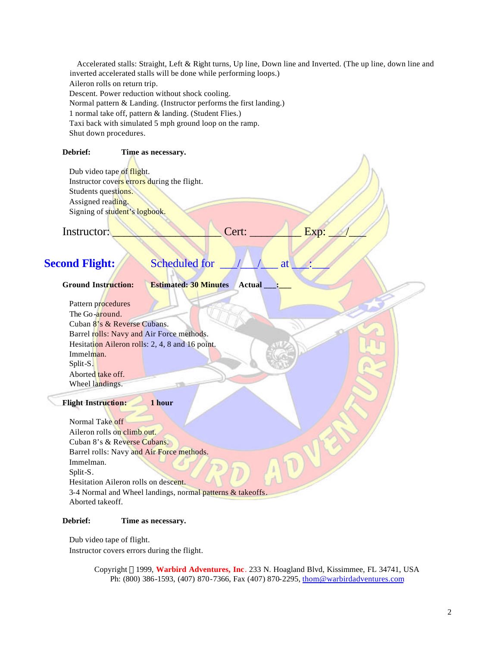Accelerated stalls: Straight, Left & Right turns, Up line, Down line and Inverted. (The up line, down line and inverted accelerated stalls will be done while performing loops.) Aileron rolls on return trip. Descent. Power reduction without shock cooling. Normal pattern & Landing. (Instructor performs the first landing.) 1 normal take off, pattern & landing. (Student Flies.) Taxi back with simulated 5 mph ground loop on the ramp. Shut down procedures.

#### **Debrief: Time as necessary.**

Dub video tape of flight. Instructor covers errors during the flight. Students questions. Assigned reading. Signing of student's logbook.

Instructor: \_\_\_\_\_\_\_\_\_\_\_\_\_\_\_\_\_\_\_ Cert: \_\_\_\_\_\_\_\_\_ Exp: \_\_\_/\_\_\_

# **Second Flight:** Scheduled for <u>1/1/2</u>

**Ground Instruction: Estimated: 30 Minutes Actual \_\_\_:\_\_\_**

 Pattern procedures The Go-around. Cuban 8's & Reverse Cubans. Barrel rolls: Navy and Air Force methods. Hesitation Aileron rolls: 2, 4, 8 and 16 point. Immelman. Split-S. Aborted take off. Wheel landings.

#### **Flight Instruction: 1 hour**

 Normal Take off Aileron rolls on climb out. Cuban 8's & Reverse Cubans. Barrel rolls: Navy and Air Force methods. Immelman. Split-S. Hesitation Aileron rolls on descent. 3-4 Normal and Wheel landings, normal patterns & takeoffs. Aborted takeoff.

#### **Debrief: Time as necessary.**

 Dub video tape of flight. Instructor covers errors during the flight.

> Copyright 1999, **Warbird Adventures, Inc**. 233 N. Hoagland Blvd, Kissimmee, FL 34741, USA Ph: (800) 386-1593, (407) 870-7366, Fax (407) 870-2295, thom@warbirdadventures.com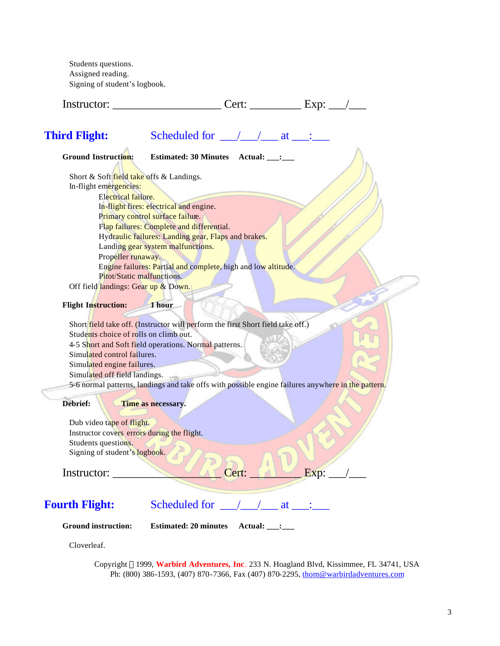Students questions. Assigned reading. Signing of student's logbook.

| Instructor: | $\Delta^{\nu\prime}$<br>ົ້າ. | $- - - -$<br>A |
|-------------|------------------------------|----------------|
|             |                              |                |

| <b>Third Flight:</b> | Scheduled for |  |  |  |
|----------------------|---------------|--|--|--|
|----------------------|---------------|--|--|--|

| <b>Ground Instruction:</b><br>Estimated: 30 Minutes Actual: ___:                                   |
|----------------------------------------------------------------------------------------------------|
| Short & Soft field take offs & Landings.                                                           |
| In-flight emergencies:                                                                             |
| Electrical failure.                                                                                |
| In-flight fires: electrical and engine.                                                            |
| Primary control surface failure.                                                                   |
| Flap failures: Complete and differential.                                                          |
| Hydraulic failures: Landing gear, Flaps and brakes.                                                |
| Landing gear system malfunctions.                                                                  |
| Propeller runaway.                                                                                 |
| Engine failures: Partial and complete, high and low altitude.                                      |
| Pitot/Static malfunctions.                                                                         |
| Off field landings: Gear up & Down.                                                                |
|                                                                                                    |
| <b>Flight Instruction:</b><br>1 hour                                                               |
|                                                                                                    |
| Short field take off. (Instructor will perform the first Short field take off.)                    |
| Students choice of rolls on climb out.                                                             |
| 4-5 Short and Soft field operations. Normal patterns.                                              |
| Simulated control failures.                                                                        |
| Simulated engine failures.                                                                         |
| Simulated off field landings.                                                                      |
| 5-6 normal patterns, landings and take offs with possible engine failures anywhere in the pattern. |
|                                                                                                    |
| Debrief:<br>Time as necessary.                                                                     |
|                                                                                                    |
| Dub video tape of flight.                                                                          |
| Instructor covers errors during the flight.                                                        |
| Students questions.                                                                                |
| Signing of student's logbook.                                                                      |
|                                                                                                    |
| Cert:<br>Exp:<br>Instructor:                                                                       |
|                                                                                                    |
|                                                                                                    |
| Scheduled for / / at :<br><b>Fourth Flight:</b>                                                    |
|                                                                                                    |
| <b>Ground instruction:</b><br><b>Estimated: 20 minutes</b><br>Actual: :                            |

Cloverleaf.

Copyright 1999, **Warbird Adventures, Inc**. 233 N. Hoagland Blvd, Kissimmee, FL 34741, USA Ph: (800) 386-1593, (407) 870-7366, Fax (407) 870-2295, thom@warbirdadventures.com